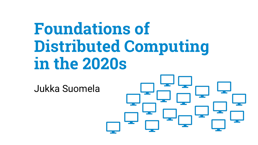# **Foundations of Distributed Computing in the 2020s**

Jukka Suomela

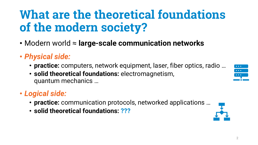## **What are the theoretical foundations of the modern society?**

- Modern world ≈ **large-scale communication networks**
- *Physical side:*
	- **practice:** computers, network equipment, laser, fiber optics, radio …
	- **solid theoretical foundations:** electromagnetism, quantum mechanics …

### • *Logical side:*

- **practice:** communication protocols, networked applications …
- **solid theoretical foundations: ???**



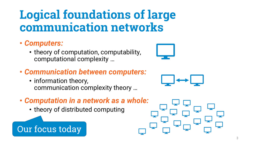## **Logical foundations of large communication networks**

#### • *Computers:*

- theory of computation, computability, computational complexity …
- *Communication between computers:*
	- information theory, communication complexity theory …
- *Computation in a network as a whole:*
	- theory of distributed computing

### Our focus today





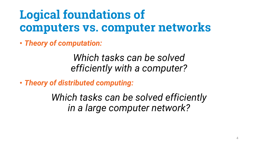## **Logical foundations of computers vs. computer networks**

• *Theory of computation:*

*Which tasks can be solved efficiently with a computer?*

• *Theory of distributed computing:*

*Which tasks can be solved efficiently in a large computer network?*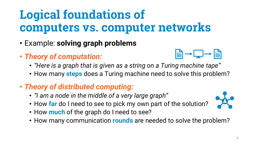# **Logical foundations of computers vs. computer networks**

- Example: **solving graph problems**
- *Theory of computation:*



- *"Here is a graph that is given as a string on a Turing machine tape"*
- How many **steps** does a Turing machine need to solve this problem?
- *Theory of distributed computing:*
	- *"I am a node in the middle of a very large graph"*
	- How **far** do I need to see to pick my own part of the solution?
	- How **much** of the graph do I need to see?
	- How many communication **rounds** are needed to solve the problem?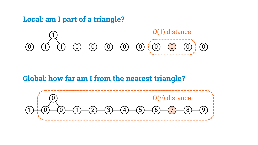#### **Local: am I part of a triangle?**



#### **Global: how far am I from the nearest triangle?**

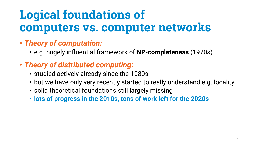# **Logical foundations of computers vs. computer networks**

- *Theory of computation:*
	- e.g. hugely influential framework of **NP-completeness** (1970s)
- *Theory of distributed computing:*
	- studied actively already since the 1980s
	- but we have only very recently started to really understand e.g. locality
	- solid theoretical foundations still largely missing
	- **lots of progress in the 2010s, tons of work left for the 2020s**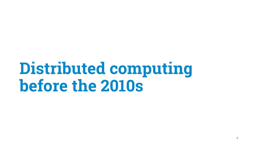# **Distributed computing before the 2010s**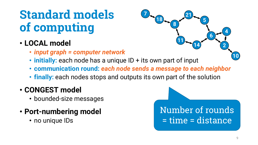## **Standard models of computing**

- **LOCAL model**
	- *input graph = computer network*
	- **initially:** each node has a unique ID + its own part of input
	- **communication round:** *each node sends a message to each neighbor*
	- **finally:** each nodes stops and outputs its own part of the solution

#### • **CONGEST model**

- bounded-size messages
- **Port-numbering model**
	- no unique IDs

Number of rounds = time = distance

**14**

**11**

**21**

**8**

**18**

**7**

**10**

**2**

**4**

**6**

**5**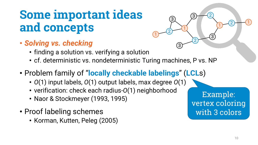## **Some important ideas and concepts**

- *Solving vs. checking*
	- finding a solution vs. verifying a solution
	- cf. deterministic vs. nondeterministic Turing machines, P vs. NP

 $\sqrt{2}$  1

3

2

3

 $\frac{3}{2}$  1

 $3 - 2$ 

 $\sqrt{2}$ 

- Problem family of "**locally checkable labelings**" (**LCL**s)
	- *O*(1) input labels, *O*(1) output labels, max degree *O*(1)
	- verification: check each radius-*O*(1) neighborhood
	- Naor & Stockmeyer (1993, 1995)
- Proof labeling schemes
	- Korman, Kutten, Peleg (2005)

Example: vertex coloring with 3 colors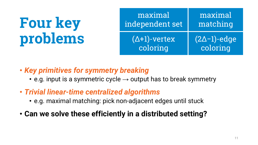| maximal              | maximal             |
|----------------------|---------------------|
| independent set      | matching            |
| $(\Delta+1)$ -vertex | $(2\Delta-1)$ -edge |
| coloring             | coloring            |

- *Key primitives for symmetry breaking*
	- e.g. input is a symmetric cycle  $\rightarrow$  output has to break symmetry
- *Trivial linear-time centralized algorithms*
	- e.g. maximal matching: pick non-adjacent edges until stuck
- **Can we solve these efficiently in a distributed setting?**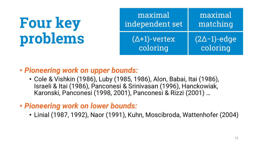| maximal              | maximal             |
|----------------------|---------------------|
| independent set      | matching            |
| $(\Delta+1)$ -vertex | $(2\Delta-1)$ -edge |
| coloring             | coloring            |

#### • *Pioneering work on upper bounds:*

- Cole & Vishkin (1986), Luby (1985, 1986), Alon, Babai, Itai (1986), Israeli & Itai (1986), Panconesi & Srinivasan (1996), Hanckowiak, Karonski, Panconesi (1998, 2001), Panconesi & Rizzi (2001) …
- *Pioneering work on lower bounds:*
	- Linial (1987, 1992), Naor (1991), Kuhn, Moscibroda, Wattenhofer (2004)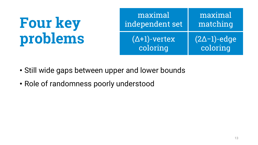| maximal              | maximal               |
|----------------------|-----------------------|
| independent set      | matching              |
| $(\Delta+1)$ -vertex | $(2\Delta - 1)$ -edge |
| coloring             | coloring              |

- Still wide gaps between upper and lower bounds
- Role of randomness poorly understood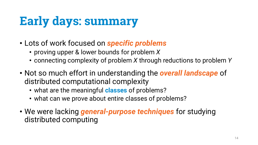# **Early days: summary**

- Lots of work focused on *specific problems*
	- proving upper & lower bounds for problem *X*
	- connecting complexity of problem *X* through reductions to problem *Y*
- Not so much effort in understanding the *overall landscape* of distributed computational complexity
	- what are the meaningful **classes** of problems?
	- what can we prove about entire classes of problems?
- We were lacking *general-purpose techniques* for studying distributed computing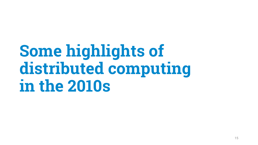# **Some highlights of distributed computing in the 2010s**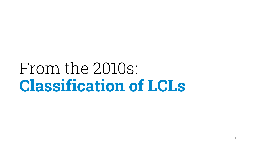# From the 2010s: **Classification of LCLs**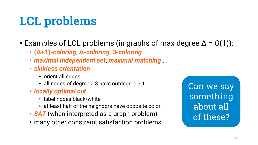# **LCL problems**

- Examples of LCL problems (in graphs of max degree  $\Delta = O(1)$ ):
	- **(Δ+1)-***coloring*, **Δ***-coloring*, **3***-coloring* …
	- *maximal independent set*, *maximal matching* …
	- *sinkless orientation*
		- orient all edges
		- all nodes of degree  $\geq$  3 have outdegree  $\geq$  1
	- *locally optimal cut*
		- label nodes black/white
		- at least half of the neighbors have opposite color
	- **SAT** (when interpreted as a graph problem)
	- many other constraint satisfaction problems

Can we say something about all of these?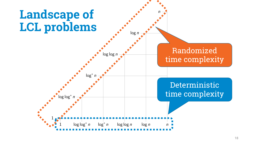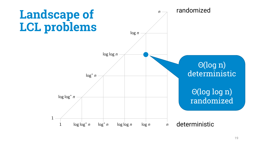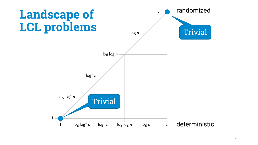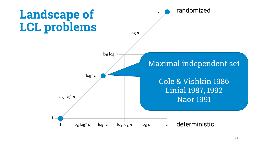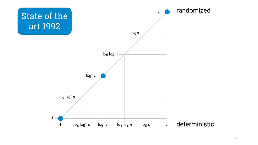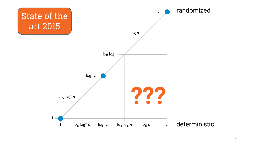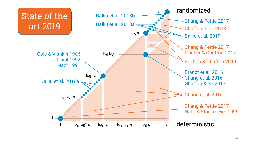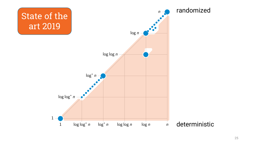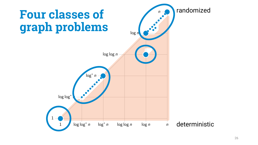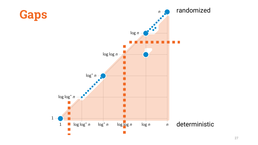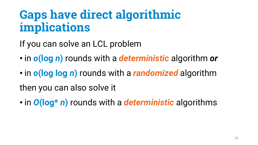## **Gaps have direct algorithmic implications**

If you can solve an LCL problem

- in *o***(log** *n***)** rounds with a *deterministic* algorithm *or*
- in *o***(log log** *n***)** rounds with a *randomized* algorithm then you can also solve it
- in *O***(log\*** *n***)** rounds with a *deterministic* algorithms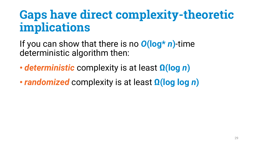## **Gaps have direct complexity-theoretic implications**

If you can show that there is no *O***(log\*** *n***)**-time deterministic algorithm then:

- *deterministic* complexity is at least **Ω(log** *n***)**
- *randomized* complexity is at least **Ω(log log** *n***)**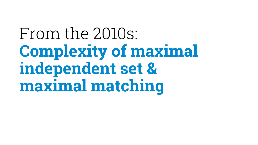# From the 2010s: **Complexity of maximal independent set & maximal matching**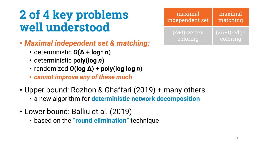## **2 of 4 key problems well understood**

- *Maximal independent set & matching:*
	- deterministic *O***(Δ + log\*** *n***)**
	- deterministic **poly(log** *n***)**
	- randomized *O***(log Δ) + poly(log log** *n***)**
	- *cannot improve any of these much*
- Upper bound: Rozhon & Ghaffari (2019) + many others
	- a new algorithm for **deterministic network decomposition**
- Lower bound: Balliu et al. (2019)
	- based on the **"round elimination"** technique

| maximal                | maximal               |
|------------------------|-----------------------|
| independent set        | matching              |
| $(\Delta + 1)$ -vertex | $(2\Delta - 1)$ -edge |
| coloring               | coloring              |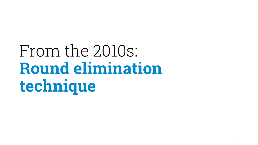# From the 2010s: **Round elimination technique**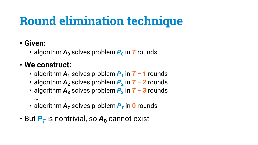# **Round elimination technique**

#### • **Given:**

• algorithm  $A_0$  solves problem  $P_0$  in T rounds

#### • **We construct:**

- algorithm  $A_1$  solves problem  $P_1$  in  $T 1$  rounds
- algorithm *A***<sup>2</sup>** solves problem *P***<sup>2</sup>** in *T* **− 2** rounds
- algorithm *A***<sup>3</sup>** solves problem *P***<sup>3</sup>** in *T* **− 3** rounds …
- algorithm  $A_T$  solves problem  $P_T$  in 0 rounds
- But  $P_T$  is nontrivial, so  $A_0$  cannot exist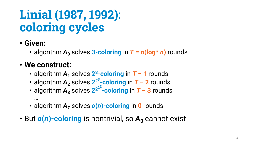# **Linial (1987, 1992): coloring cycles**

- **Given:**
	- algorithm  $A_0$  solves 3-coloring in  $T = o(\log^* n)$  rounds

#### • **We construct:**

- algorithm *A***<sup>1</sup>** solves **23-coloring** in *T* **− 1** rounds
- **•** algorithm **A**<sub>2</sub> solves 2<sup>2<sup>3</sup>−coloring in **T** − 2 rounds</sup>
- algorithm *A***<sup>3</sup>** solves **222<sup>3</sup> -coloring** in *T* **− 3** rounds …
- algorithm  $A<sub>T</sub>$  solves  $o(n)$ -coloring in 0 rounds
- But  $o(n)$ -coloring is nontrivial, so  $A_0$  cannot exist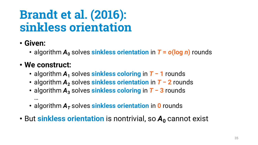## **Brandt et al. (2016): sinkless orientation**

### • **Given:**

• algorithm  $A_0$  solves **sinkless orientation** in  $T = o(\log n)$  rounds

### • **We construct:**

- algorithm *A***<sup>1</sup>** solves **sinkless coloring** in *T* **− 1** rounds
- algorithm *A***<sup>2</sup>** solves **sinkless orientation** in *T* **− 2** rounds
- algorithm *A***<sup>3</sup>** solves **sinkless coloring** in *T* **− 3** rounds …
- algorithm  $A<sub>T</sub>$  solves **sinkless orientation** in **0** rounds
- But sinkless orientation is nontrivial, so  $A_0$  cannot exist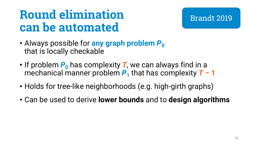## **Round elimination can be automated**

#### Brandt 2019

- Always possible for **any graph problem P**<sup>0</sup> that is locally checkable
- If problem  $P_0$  has complexity **T**, we can always find in a mechanical manner problem  $P_1$  that has complexity  $T - 1$
- Holds for tree-like neighborhoods (e.g. high-girth graphs)
- Can be used to derive **lower bounds** and to **design algorithms**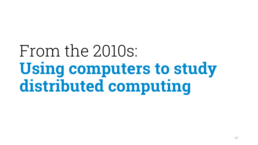# From the 2010s: **Using computers to study distributed computing**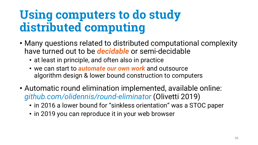## **Using computers to do study distributed computing**

- Many questions related to distributed computational complexity have turned out to be *decidable* or semi-decidable
	- at least in principle, and often also in practice
	- we can start to *automate our own work* and outsource algorithm design & lower bound construction to computers
- Automatic round elimination implemented, available online: *github.com/olidennis/round-eliminator* (Olivetti 2019)
	- in 2016 a lower bound for "sinkless orientation" was a STOC paper
	- in 2019 you can reproduce it in your web browser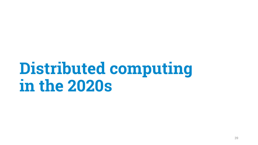# **Distributed computing in the 2020s**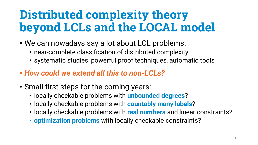## **Distributed complexity theory beyond LCLs and the LOCAL model**

- We can nowadays say a lot about LCL problems:
	- near-complete classification of distributed complexity
	- systematic studies, powerful proof techniques, automatic tools
- *How could we extend all this to non-LCLs?*
- Small first steps for the coming years:
	- locally checkable problems with **unbounded degrees**?
	- locally checkable problems with **countably many labels**?
	- locally checkable problems with **real numbers** and linear constraints?
	- **optimization problems** with locally checkable constraints?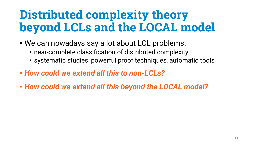## **Distributed complexity theory beyond LCLs and the LOCAL model**

- We can nowadays say a lot about LCL problems:
	- near-complete classification of distributed complexity
	- systematic studies, powerful proof techniques, automatic tools
- *How could we extend all this to non-LCLs?*
- *How could we extend all this beyond the LOCAL model?*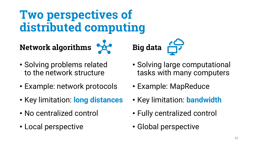**Network algorithms**



- Solving problems related to the network structure
- Example: network protocols
- Key limitation: **long distances**
- No centralized control
- Local perspective
- Solving large computational tasks with many computers
- Example: MapReduce

**Big data** 

- Key limitation: **bandwidth**
- Fully centralized control
- Global perspective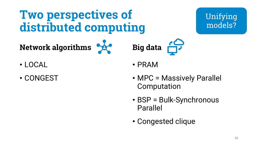Unifying

models?

### **Two perspectives of distributed computing**

**Network algorithms**

- LOCAL
- CONGEST

• PRAM

**Big data** 

- MPC = Massively Parallel Computation
- BSP = Bulk-Synchronous Parallel
- Congested clique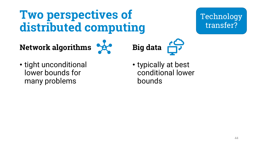Technology transfer?

**Network algorithms**





• tight unconditional lower bounds for many problems

• typically at best conditional lower bounds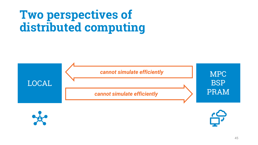

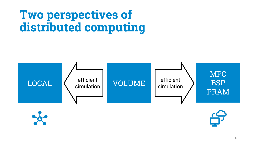

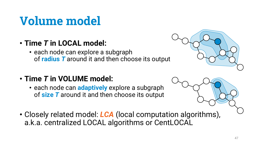# **Volume model**

- **Time** *T* **in LOCAL model:**
	- each node can explore a subgraph of **radius** *T* around it and then choose its output
- **Time** *T* **in VOLUME model:**
	- each node can **adaptively** explore a subgraph of **size** *T* around it and then choose its output





• Closely related model: *LCA* (local computation algorithms), a.k.a. centralized LOCAL algorithms or CentLOCAL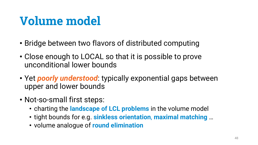# **Volume model**

- Bridge between two flavors of distributed computing
- Close enough to LOCAL so that it is possible to prove unconditional lower bounds
- Yet *poorly understood*: typically exponential gaps between upper and lower bounds
- Not-so-small first steps:
	- charting the **landscape of LCL problems** in the volume model
	- tight bounds for e.g. **sinkless orientation**, **maximal matching** …
	- volume analogue of **round elimination**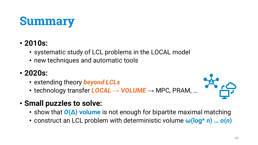### **Summary**

### • **2010s:**

- systematic study of LCL problems in the LOCAL model
- new techniques and automatic tools

### • **2020s:**

- extending theory *beyond LCLs*
- technology transfer *LOCAL → VOLUME* → MPC, PRAM, …
- **Small puzzles to solve:**
	- show that  $O(\Delta)$  volume is not enough for bipartite maximal matching
	- construct an LCL problem with deterministic volume **ω(log\*** *n***) …** *o***(***n***)**

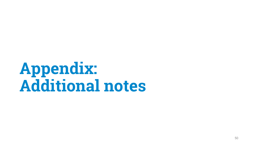# **Appendix: Additional notes**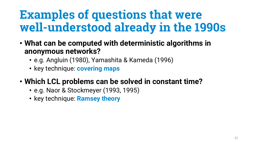## **Examples of questions that were well-understood already in the 1990s**

- **What can be computed with deterministic algorithms in anonymous networks?**
	- e.g. Angluin (1980), Yamashita & Kameda (1996)
	- key technique: **covering maps**
- **Which LCL problems can be solved in constant time?**
	- e.g. Naor & Stockmeyer (1993, 1995)
	- key technique: **Ramsey theory**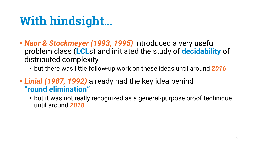# **With hindsight…**

- *Naor & Stockmeyer (1993, 1995)* introduced a very useful problem class (**LCL**s) and initiated the study of **decidability** of distributed complexity
	- but there was little follow-up work on these ideas until around *2016*
- *Linial (1987, 1992)* already had the key idea behind **"round elimination"**
	- but it was not really recognized as a general-purpose proof technique until around *2018*